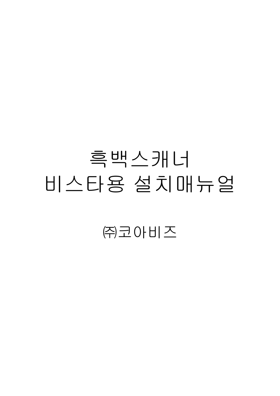## 흑백스캐너 비스타용설치매뉴얼

주크아비즈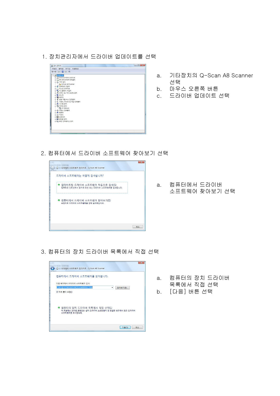1. 장치관리자에서 드라이버 업데이트를 선택



- 기타장치의 Q-Scan A8 Scanner a. 선택
- b. 마우스 오른쪽 버튼
- c. 드라이버 업데이트 선택

2. 컴퓨터에서 드라이버 소프트웨어 찾아보기 선택



a. 컴퓨터에서 드라이버 소프트웨어 찾아보기 선택

3. 컴퓨터의 장치 드라이버 목록에서 직접 선택



- a. 컴퓨터의 장치 드라이버 목록에서 직접 선택
- b. [다음] 버튼 선택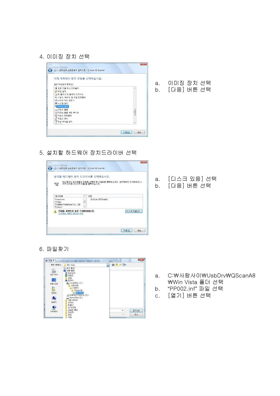4. 이미징 장치 선택



- 이미징 장치 선택 a.
- [다음] 버튼 선택  $b<sub>1</sub>$

5. 설치할 하드웨어 장치드라이버 선택



[디스크 있음] 선택 a. [다음] 버튼 선택  $b<sub>1</sub>$ 

6. 파일찾기



- C:\사람사이\UsbDrv\QScanA8 a. ₩Win Vista 폴더 선택
- "PP002.inf" 파일 선택 b.
- [열기] 버튼 선택  $C<sub>1</sub>$